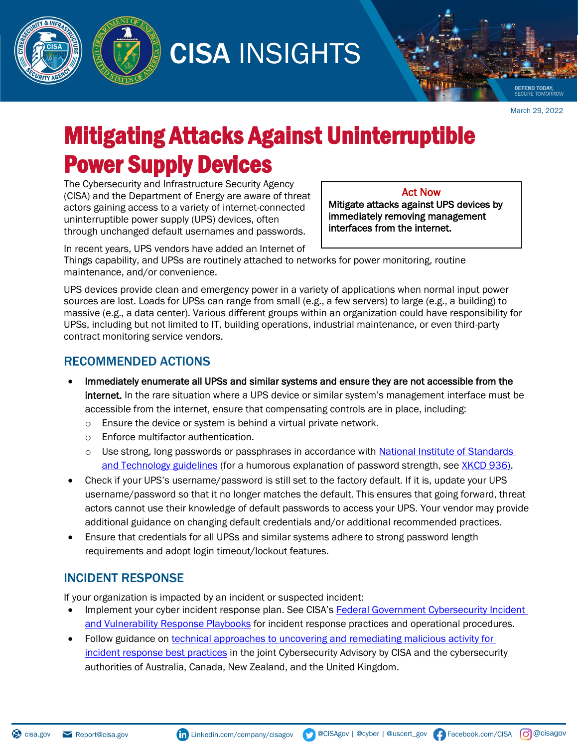

CISA INSIGHTS

March 29, 2022

MOR

**DEFEND TODAY,** 

## Mitigating Attacks Against Uninterruptible Power Supply Devices

The Cybersecurity and Infrastructure Security Agency (CISA) and the Department of Energy are aware of threat actors gaining access to a variety of internet-connected uninterruptible power supply (UPS) devices, often through unchanged default usernames and passwords.

Act Now

Mitigate attacks against UPS devices by immediately removing management interfaces from the internet.

In recent years, UPS vendors have added an Internet of

Things capability, and UPSs are routinely attached to networks for power monitoring, routine maintenance, and/or convenience.

UPS devices provide clean and emergency power in a variety of applications when normal input power sources are lost. Loads for UPSs can range from small (e.g., a few servers) to large (e.g., a building) to massive (e.g., a data center). Various different groups within an organization could have responsibility for UPSs, including but not limited to IT, building operations, industrial maintenance, or even third-party contract monitoring service vendors.

## RECOMMENDED ACTIONS

- Immediately enumerate all UPSs and similar systems and ensure they are not accessible from the internet. In the rare situation where a UPS device or similar system's management interface must be accessible from the internet, ensure that compensating controls are in place, including:
	- o Ensure the device or system is behind a virtual private network.
	- o Enforce multifactor authentication.
	- o Use strong, long passwords or passphrases in accordance with [National Institute of Standards](https://csrc.nist.gov/publications/detail/sp/800-63b/final) [and Technology guidelines](https://csrc.nist.gov/publications/detail/sp/800-63b/final) (for a humorous explanation of password strength, see [XKCD 936\)](https://xkcd.com/936/).
- Check if your UPS's username/password is still set to the factory default. If it is, update your UPS username/password so that it no longer matches the default. This ensures that going forward, threat actors cannot use their knowledge of default passwords to access your UPS. Your vendor may provide additional guidance on changing default credentials and/or additional recommended practices.
- Ensure that credentials for all UPSs and similar systems adhere to strong password length requirements and adopt login timeout/lockout features.

## INCIDENT RESPONSE

If your organization is impacted by an incident or suspected incident:

- Implement your cyber incident response plan. See CISA's [Federal Government Cybersecurity Incident](https://us-cert.cisa.gov/ncas/current-activity/2021/11/16/new-federal-government-cybersecurity-incident-and-vulnerability) [and Vulnerability Response Playbooks](https://us-cert.cisa.gov/ncas/current-activity/2021/11/16/new-federal-government-cybersecurity-incident-and-vulnerability) for incident response practices and operational procedures.
- Follow guidance o[n technical approaches to uncovering and remediating malicious activity for](http://www.cisa.gov/uscert/ncas/alerts/aa20-245a) [incident response best practices](http://www.cisa.gov/uscert/ncas/alerts/aa20-245a) in the joint Cybersecurity Advisory by CISA and the cybersecurity authorities of Australia, Canada, New Zealand, and the United Kingdom.